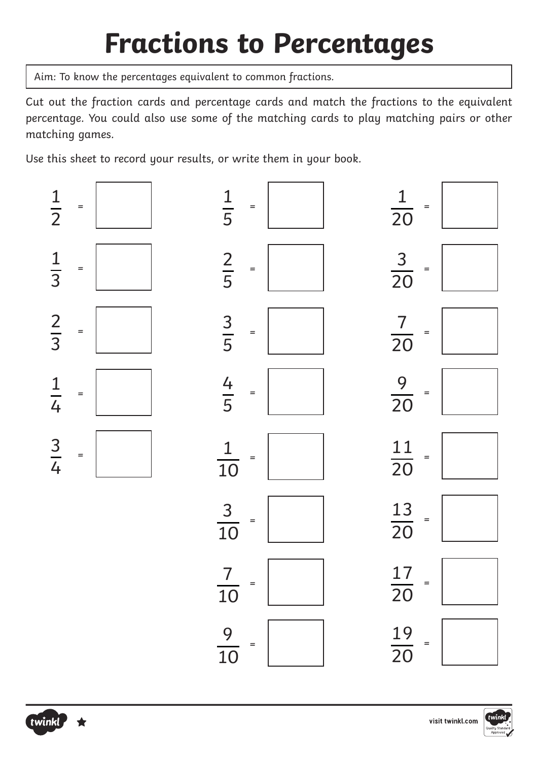## **Fractions to Percentages**

Aim: To know the percentages equivalent to common fractions.

Cut out the fraction cards and percentage cards and match the fractions to the equivalent percentage. You could also use some of the matching cards to play matching pairs or other matching games.

Use this sheet to record your results, or write them in your book.